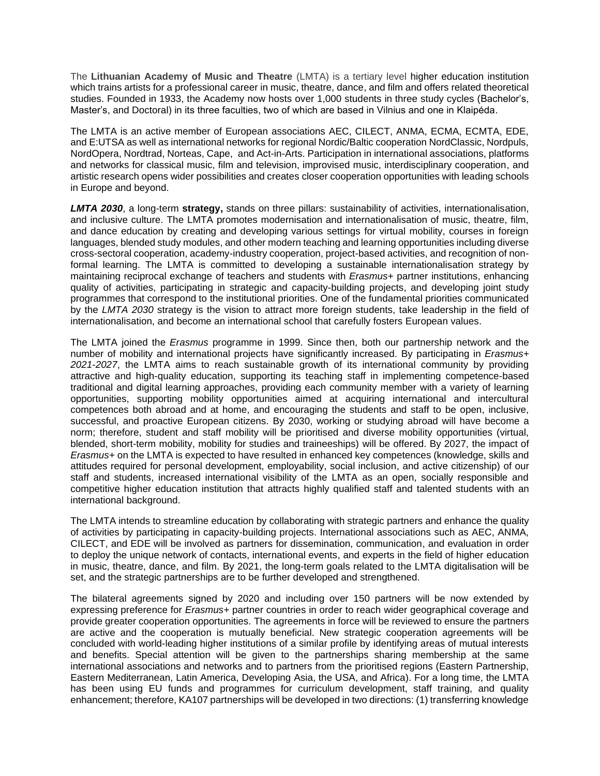The **Lithuanian Academy of Music and Theatre** (LMTA) is a tertiary level higher education institution which trains artists for a professional career in music, theatre, dance, and film and offers related theoretical studies. Founded in 1933, the Academy now hosts over 1,000 students in three study cycles (Bachelor's, Master's, and Doctoral) in its three faculties, two of which are based in Vilnius and one in Klaipėda.

The LMTA is an active member of European associations AEC, CILECT, ANMA, ECMA, ECMTA, EDE, and E:UTSA as well as international networks for regional Nordic/Baltic cooperation NordClassic, Nordpuls, NordOpera, Nordtrad, Norteas, Cape, and Act-in-Arts. Participation in international associations, platforms and networks for classical music, film and television, improvised music, interdisciplinary cooperation, and artistic research opens wider possibilities and creates closer cooperation opportunities with leading schools in Europe and beyond.

*LMTA 2030*, a long-term **strategy,** stands on three pillars: sustainability of activities, internationalisation, and inclusive culture. The LMTA promotes modernisation and internationalisation of music, theatre, film, and dance education by creating and developing various settings for virtual mobility, courses in foreign languages, blended study modules, and other modern teaching and learning opportunities including diverse cross-sectoral cooperation, academy-industry cooperation, project-based activities, and recognition of nonformal learning. The LMTA is committed to developing a sustainable internationalisation strategy by maintaining reciprocal exchange of teachers and students with *Erasmus+* partner institutions, enhancing quality of activities, participating in strategic and capacity-building projects, and developing joint study programmes that correspond to the institutional priorities. One of the fundamental priorities communicated by the *LMTA 2030* strategy is the vision to attract more foreign students, take leadership in the field of internationalisation, and become an international school that carefully fosters European values.

The LMTA joined the *Erasmus* programme in 1999. Since then, both our partnership network and the number of mobility and international projects have significantly increased. By participating in *Erasmus+ 2021-2027*, the LMTA aims to reach sustainable growth of its international community by providing attractive and high-quality education, supporting its teaching staff in implementing competence-based traditional and digital learning approaches, providing each community member with a variety of learning opportunities, supporting mobility opportunities aimed at acquiring international and intercultural competences both abroad and at home, and encouraging the students and staff to be open, inclusive, successful, and proactive European citizens. By 2030, working or studying abroad will have become a norm; therefore, student and staff mobility will be prioritised and diverse mobility opportunities (virtual, blended, short-term mobility, mobility for studies and traineeships) will be offered. By 2027, the impact of *Erasmus+* on the LMTA is expected to have resulted in enhanced key competences (knowledge, skills and attitudes required for personal development, employability, social inclusion, and active citizenship) of our staff and students, increased international visibility of the LMTA as an open, socially responsible and competitive higher education institution that attracts highly qualified staff and talented students with an international background.

The LMTA intends to streamline education by collaborating with strategic partners and enhance the quality of activities by participating in capacity-building projects. International associations such as AEC, ANMA, CILECT, and EDE will be involved as partners for dissemination, communication, and evaluation in order to deploy the unique network of contacts, international events, and experts in the field of higher education in music, theatre, dance, and film. By 2021, the long-term goals related to the LMTA digitalisation will be set, and the strategic partnerships are to be further developed and strengthened.

The bilateral agreements signed by 2020 and including over 150 partners will be now extended by expressing preference for *Erasmus+* partner countries in order to reach wider geographical coverage and provide greater cooperation opportunities. The agreements in force will be reviewed to ensure the partners are active and the cooperation is mutually beneficial. New strategic cooperation agreements will be concluded with world-leading higher institutions of a similar profile by identifying areas of mutual interests and benefits. Special attention will be given to the partnerships sharing membership at the same international associations and networks and to partners from the prioritised regions (Eastern Partnership, Eastern Mediterranean, Latin America, Developing Asia, the USA, and Africa). For a long time, the LMTA has been using EU funds and programmes for curriculum development, staff training, and quality enhancement; therefore, KA107 partnerships will be developed in two directions: (1) transferring knowledge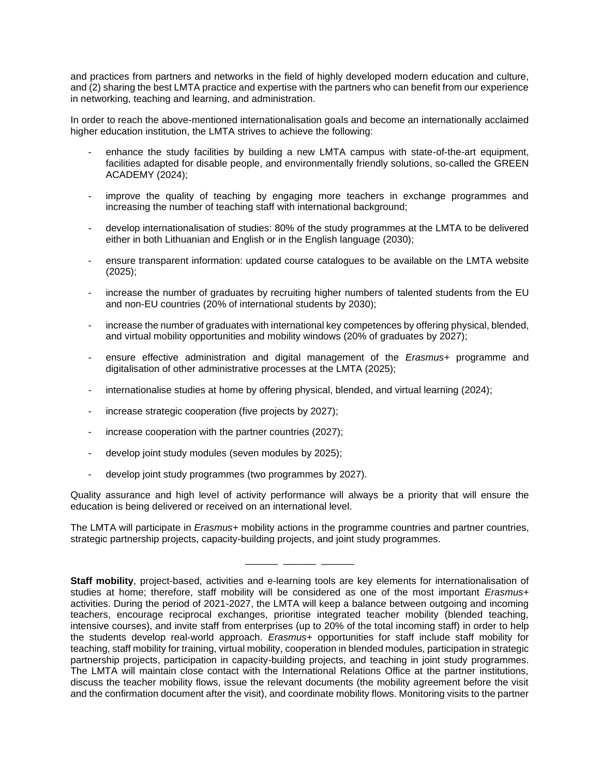and practices from partners and networks in the field of highly developed modern education and culture, and (2) sharing the best LMTA practice and expertise with the partners who can benefit from our experience in networking, teaching and learning, and administration.

In order to reach the above-mentioned internationalisation goals and become an internationally acclaimed higher education institution, the LMTA strives to achieve the following:

- enhance the study facilities by building a new LMTA campus with state-of-the-art equipment. facilities adapted for disable people, and environmentally friendly solutions, so-called the GREEN ACADEMY (2024);
- improve the quality of teaching by engaging more teachers in exchange programmes and increasing the number of teaching staff with international background;
- develop internationalisation of studies: 80% of the study programmes at the LMTA to be delivered either in both Lithuanian and English or in the English language (2030);
- ensure transparent information: updated course catalogues to be available on the LMTA website (2025);
- increase the number of graduates by recruiting higher numbers of talented students from the EU and non-EU countries (20% of international students by 2030);
- increase the number of graduates with international key competences by offering physical, blended, and virtual mobility opportunities and mobility windows (20% of graduates by 2027);
- ensure effective administration and digital management of the *Erasmus+* programme and digitalisation of other administrative processes at the LMTA (2025);
- internationalise studies at home by offering physical, blended, and virtual learning (2024);
- increase strategic cooperation (five projects by 2027);
- increase cooperation with the partner countries (2027);
- develop joint study modules (seven modules by 2025);
- develop joint study programmes (two programmes by 2027).

Quality assurance and high level of activity performance will always be a priority that will ensure the education is being delivered or received on an international level.

The LMTA will participate in *Erasmus+* mobility actions in the programme countries and partner countries, strategic partnership projects, capacity-building projects, and joint study programmes.

\_\_\_\_\_\_ \_\_\_\_\_\_ \_\_\_\_\_\_

**Staff mobility**, project-based, activities and e-learning tools are key elements for internationalisation of studies at home; therefore, staff mobility will be considered as one of the most important *Erasmus+* activities. During the period of 2021-2027, the LMTA will keep a balance between outgoing and incoming teachers, encourage reciprocal exchanges, prioritise integrated teacher mobility (blended teaching, intensive courses), and invite staff from enterprises (up to 20% of the total incoming staff) in order to help the students develop real-world approach. *Erasmus+* opportunities for staff include staff mobility for teaching, staff mobility for training, virtual mobility, cooperation in blended modules, participation in strategic partnership projects, participation in capacity-building projects, and teaching in joint study programmes. The LMTA will maintain close contact with the International Relations Office at the partner institutions, discuss the teacher mobility flows, issue the relevant documents (the mobility agreement before the visit and the confirmation document after the visit), and coordinate mobility flows. Monitoring visits to the partner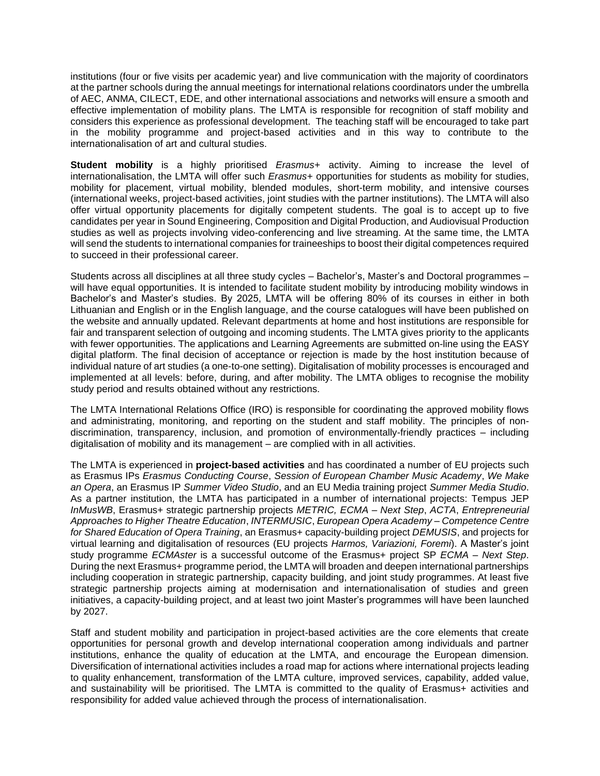institutions (four or five visits per academic year) and live communication with the majority of coordinators at the partner schools during the annual meetings for international relations coordinators under the umbrella of AEC, ANMA, CILECT, EDE, and other international associations and networks will ensure a smooth and effective implementation of mobility plans. The LMTA is responsible for recognition of staff mobility and considers this experience as professional development. The teaching staff will be encouraged to take part in the mobility programme and project-based activities and in this way to contribute to the internationalisation of art and cultural studies.

**Student mobility** is a highly prioritised *Erasmus+* activity. Aiming to increase the level of internationalisation, the LMTA will offer such *Erasmus+* opportunities for students as mobility for studies, mobility for placement, virtual mobility, blended modules, short-term mobility, and intensive courses (international weeks, project-based activities, joint studies with the partner institutions). The LMTA will also offer virtual opportunity placements for digitally competent students. The goal is to accept up to five candidates per year in Sound Engineering, Composition and Digital Production, and Audiovisual Production studies as well as projects involving video-conferencing and live streaming. At the same time, the LMTA will send the students to international companies for traineeships to boost their digital competences required to succeed in their professional career.

Students across all disciplines at all three study cycles – Bachelor's, Master's and Doctoral programmes – will have equal opportunities. It is intended to facilitate student mobility by introducing mobility windows in Bachelor's and Master's studies. By 2025, LMTA will be offering 80% of its courses in either in both Lithuanian and English or in the English language, and the course catalogues will have been published on the website and annually updated. Relevant departments at home and host institutions are responsible for fair and transparent selection of outgoing and incoming students. The LMTA gives priority to the applicants with fewer opportunities. The applications and Learning Agreements are submitted on-line using the EASY digital platform. The final decision of acceptance or rejection is made by the host institution because of individual nature of art studies (a one-to-one setting). Digitalisation of mobility processes is encouraged and implemented at all levels: before, during, and after mobility. The LMTA obliges to recognise the mobility study period and results obtained without any restrictions.

The LMTA International Relations Office (IRO) is responsible for coordinating the approved mobility flows and administrating, monitoring, and reporting on the student and staff mobility. The principles of nondiscrimination, transparency, inclusion, and promotion of environmentally-friendly practices – including digitalisation of mobility and its management *–* are complied with in all activities.

The LMTA is experienced in **project-based activities** and has coordinated a number of EU projects such as Erasmus IPs *Erasmus Conducting Course*, *Session of European Chamber Music Academy*, *We Make an Opera*, an Erasmus IP *Summer Video Studio*, and an EU Media training project *Summer Media Studio*. As a partner institution, the LMTA has participated in a number of international projects: Tempus JEP *InMusWB*, Erasmus+ strategic partnership projects *METRIC, ECMA – Next Step*, *ACTA*, *Entrepreneurial Approaches to Higher Theatre Education*, *INTERMUSIC*, *European Opera Academy – Competence Centre for Shared Education of Opera Training*, an Erasmus+ capacity-building project *DEMUSIS*, and projects for virtual learning and digitalisation of resources (EU projects *Harmos, Variazioni, Foremi*). A Master's joint study programme *ECMAster* is a successful outcome of the Erasmus+ project SP *ECMA – Next Step*. During the next Erasmus+ programme period, the LMTA will broaden and deepen international partnerships including cooperation in strategic partnership, capacity building, and joint study programmes. At least five strategic partnership projects aiming at modernisation and internationalisation of studies and green initiatives, a capacity-building project, and at least two joint Master's programmes will have been launched by 2027.

Staff and student mobility and participation in project-based activities are the core elements that create opportunities for personal growth and develop international cooperation among individuals and partner institutions, enhance the quality of education at the LMTA, and encourage the European dimension. Diversification of international activities includes a road map for actions where international projects leading to quality enhancement, transformation of the LMTA culture, improved services, capability, added value, and sustainability will be prioritised. The LMTA is committed to the quality of Erasmus+ activities and responsibility for added value achieved through the process of internationalisation.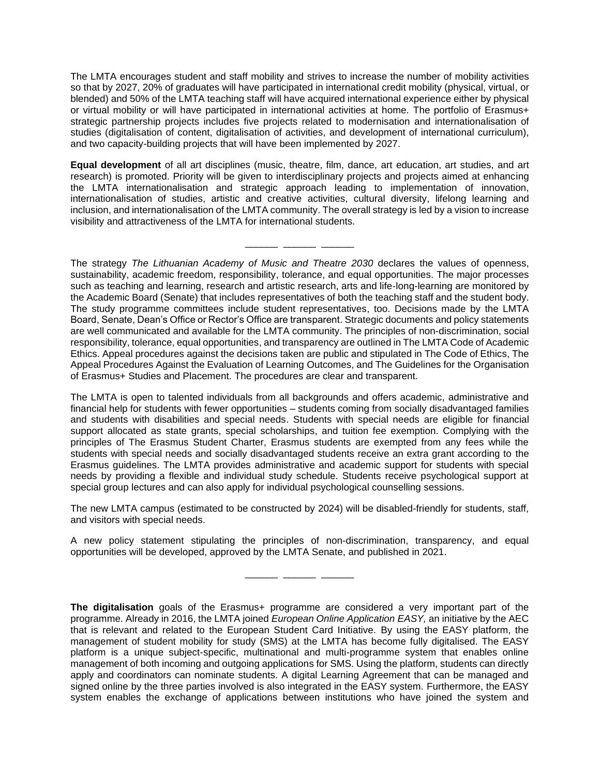The LMTA encourages student and staff mobility and strives to increase the number of mobility activities so that by 2027, 20% of graduates will have participated in international credit mobility (physical, virtual, or blended) and 50% of the LMTA teaching staff will have acquired international experience either by physical or virtual mobility or will have participated in international activities at home. The portfolio of Erasmus+ strategic partnership projects includes five projects related to modernisation and internationalisation of studies (digitalisation of content, digitalisation of activities, and development of international curriculum), and two capacity-building projects that will have been implemented by 2027.

**Equal development** of all art disciplines (music, theatre, film, dance, art education, art studies, and art research) is promoted. Priority will be given to interdisciplinary projects and projects aimed at enhancing the LMTA internationalisation and strategic approach leading to implementation of innovation, internationalisation of studies, artistic and creative activities, cultural diversity, lifelong learning and inclusion, and internationalisation of the LMTA community. The overall strategy is led by a vision to increase visibility and attractiveness of the LMTA for international students.

\_\_\_\_\_\_ \_\_\_\_\_\_ \_\_\_\_\_\_

The strategy *The Lithuanian Academy of Music and Theatre 2030* declares the values of openness, sustainability, academic freedom, responsibility, tolerance, and equal opportunities. The major processes such as teaching and learning, research and artistic research, arts and life-long-learning are monitored by the Academic Board (Senate) that includes representatives of both the teaching staff and the student body. The study programme committees include student representatives, too. Decisions made by the LMTA Board, Senate, Dean's Office or Rector's Office are transparent. Strategic documents and policy statements are well communicated and available for the LMTA community. The principles of non-discrimination, social responsibility, tolerance, equal opportunities, and transparency are outlined in The LMTA Code of Academic Ethics. Appeal procedures against the decisions taken are public and stipulated in The Code of Ethics, The Appeal Procedures Against the Evaluation of Learning Outcomes, and The Guidelines for the Organisation of Erasmus+ Studies and Placement. The procedures are clear and transparent.

The LMTA is open to talented individuals from all backgrounds and offers academic, administrative and financial help for students with fewer opportunities – students coming from socially disadvantaged families and students with disabilities and special needs. Students with special needs are eligible for financial support allocated as state grants, special scholarships, and tuition fee exemption. Complying with the principles of The Erasmus Student Charter, Erasmus students are exempted from any fees while the students with special needs and socially disadvantaged students receive an extra grant according to the Erasmus guidelines. The LMTA provides administrative and academic support for students with special needs by providing a flexible and individual study schedule. Students receive psychological support at special group lectures and can also apply for individual psychological counselling sessions.

The new LMTA campus (estimated to be constructed by 2024) will be disabled-friendly for students, staff, and visitors with special needs.

A new policy statement stipulating the principles of non-discrimination, transparency, and equal opportunities will be developed, approved by the LMTA Senate, and published in 2021.

\_\_\_\_\_\_ \_\_\_\_\_\_ \_\_\_\_\_\_

**The digitalisation** goals of the Erasmus+ programme are considered a very important part of the programme. Already in 2016, the LMTA joined *European Online Application EASY,* an initiative by the AEC that is relevant and related to the European Student Card Initiative. By using the EASY platform, the management of student mobility for study (SMS) at the LMTA has become fully digitalised. The EASY platform is a unique subject-specific, multinational and multi-programme system that enables online management of both incoming and outgoing applications for SMS. Using the platform, students can directly apply and coordinators can nominate students. A digital Learning Agreement that can be managed and signed online by the three parties involved is also integrated in the EASY system. Furthermore, the EASY system enables the exchange of applications between institutions who have joined the system and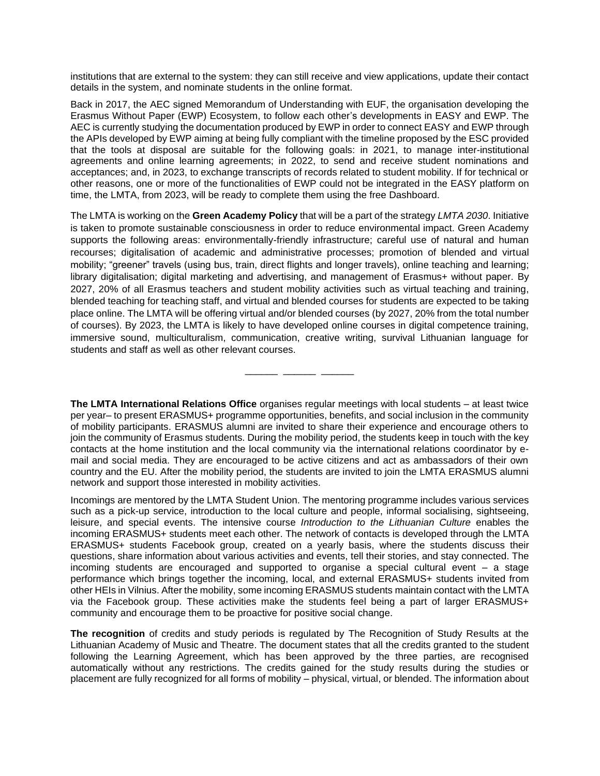institutions that are external to the system: they can still receive and view applications, update their contact details in the system, and nominate students in the online format.

Back in 2017, the AEC signed Memorandum of Understanding with EUF, the organisation developing the Erasmus Without Paper (EWP) Ecosystem, to follow each other's developments in EASY and EWP. The AEC is currently studying the documentation produced by EWP in order to connect EASY and EWP through the APIs developed by EWP aiming at being fully compliant with the timeline proposed by the ESC provided that the tools at disposal are suitable for the following goals: in 2021, to manage inter-institutional agreements and online learning agreements; in 2022, to send and receive student nominations and acceptances; and, in 2023, to exchange transcripts of records related to student mobility. If for technical or other reasons, one or more of the functionalities of EWP could not be integrated in the EASY platform on time, the LMTA, from 2023, will be ready to complete them using the free Dashboard.

The LMTA is working on the **Green Academy Policy** that will be a part of the strategy *LMTA 2030*. Initiative is taken to promote sustainable consciousness in order to reduce environmental impact. Green Academy supports the following areas: environmentally-friendly infrastructure; careful use of natural and human recourses; digitalisation of academic and administrative processes; promotion of blended and virtual mobility; "greener" travels (using bus, train, direct flights and longer travels), online teaching and learning; library digitalisation; digital marketing and advertising, and management of Erasmus+ without paper. By 2027, 20% of all Erasmus teachers and student mobility activities such as virtual teaching and training, blended teaching for teaching staff, and virtual and blended courses for students are expected to be taking place online. The LMTA will be offering virtual and/or blended courses (by 2027, 20% from the total number of courses). By 2023, the LMTA is likely to have developed online courses in digital competence training, immersive sound, multiculturalism, communication, creative writing, survival Lithuanian language for students and staff as well as other relevant courses.

**The LMTA International Relations Office** organises regular meetings with local students *–* at least twice per year*–* to present ERASMUS+ programme opportunities, benefits, and social inclusion in the community of mobility participants. ERASMUS alumni are invited to share their experience and encourage others to join the community of Erasmus students. During the mobility period, the students keep in touch with the key contacts at the home institution and the local community via the international relations coordinator by email and social media. They are encouraged to be active citizens and act as ambassadors of their own country and the EU. After the mobility period, the students are invited to join the LMTA ERASMUS alumni network and support those interested in mobility activities.

\_\_\_\_\_\_ \_\_\_\_\_\_ \_\_\_\_\_\_

Incomings are mentored by the LMTA Student Union. The mentoring programme includes various services such as a pick-up service, introduction to the local culture and people, informal socialising, sightseeing, leisure, and special events. The intensive course *Introduction to the Lithuanian Culture* enables the incoming ERASMUS+ students meet each other. The network of contacts is developed through the LMTA ERASMUS+ students Facebook group, created on a yearly basis, where the students discuss their questions, share information about various activities and events, tell their stories, and stay connected. The incoming students are encouraged and supported to organise a special cultural event – a stage performance which brings together the incoming, local, and external ERASMUS+ students invited from other HEIs in Vilnius. After the mobility, some incoming ERASMUS students maintain contact with the LMTA via the Facebook group. These activities make the students feel being a part of larger ERASMUS+ community and encourage them to be proactive for positive social change.

**The recognition** of credits and study periods is regulated by The Recognition of Study Results at the Lithuanian Academy of Music and Theatre. The document states that all the credits granted to the student following the Learning Agreement, which has been approved by the three parties, are recognised automatically without any restrictions. The credits gained for the study results during the studies or placement are fully recognized for all forms of mobility – physical, virtual, or blended. The information about